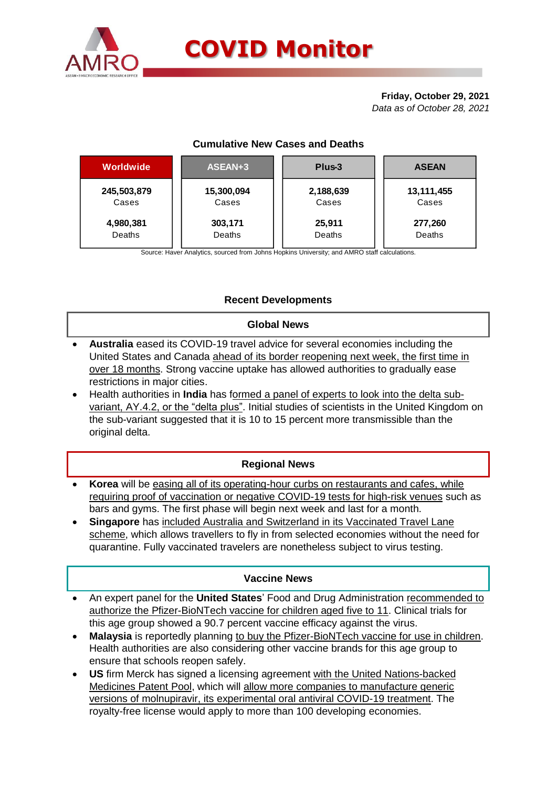

# **Friday, October 29, 2021**

*Data as of October 28, 2021*

# **Cumulative New Cases and Deaths**

| Worldwide   | ASEAN+3    | Plus-3    | <b>ASEAN</b> |  |  |
|-------------|------------|-----------|--------------|--|--|
| 245,503,879 | 15,300,094 | 2,188,639 | 13,111,455   |  |  |
| Cases       | Cases      | Cases     | Cases        |  |  |
| 4,980,381   | 303,171    | 25,911    | 277,260      |  |  |
| Deaths      | Deaths     | Deaths    | Deaths       |  |  |

Source: Haver Analytics, sourced from Johns Hopkins University; and AMRO staff calculations.

# **Recent Developments**

## **Global News**

- **Australia** eased its COVID-19 travel advice for several economies including the United States and Canada ahead of its border reopening next week, the first time in over 18 months. Strong vaccine uptake has allowed authorities to gradually ease restrictions in major cities.
- Health authorities in **India** has formed a panel of experts to look into the delta subvariant, AY.4.2, or the "delta plus". Initial studies of scientists in the United Kingdom on the sub-variant suggested that it is 10 to 15 percent more transmissible than the original delta.

# **Regional News**

- **Korea** will be easing all of its operating-hour curbs on restaurants and cafes, while requiring proof of vaccination or negative COVID-19 tests for high-risk venues such as bars and gyms. The first phase will begin next week and last for a month.
- **Singapore** has included Australia and Switzerland in its Vaccinated Travel Lane scheme, which allows travellers to fly in from selected economies without the need for quarantine. Fully vaccinated travelers are nonetheless subject to virus testing.

### **Vaccine News**

- An expert panel for the **United States**' Food and Drug Administration recommended to authorize the Pfizer-BioNTech vaccine for children aged five to 11. Clinical trials for this age group showed a 90.7 percent vaccine efficacy against the virus.
- **Malaysia** is reportedly planning to buy the Pfizer-BioNTech vaccine for use in children. Health authorities are also considering other vaccine brands for this age group to ensure that schools reopen safely.
- **US** firm Merck has signed a licensing agreement with the United Nations-backed Medicines Patent Pool, which will allow more companies to manufacture generic versions of molnupiravir, its experimental oral antiviral COVID-19 treatment. The royalty-free license would apply to more than 100 developing economies.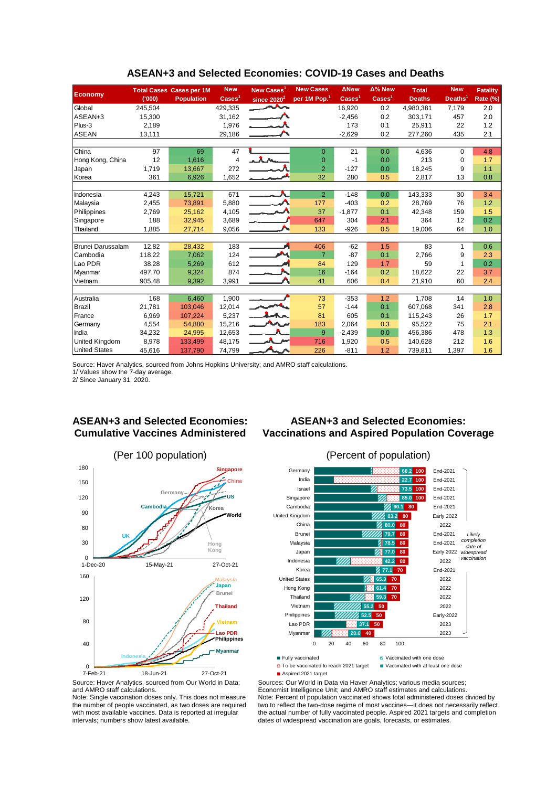|                                                                                                                          |                 | <b>Total Cases Cases per 1M</b> | <b>New</b>            | New Cases <sup>1</sup> | <b>New Cases</b>                                                                                                                                                        | <b>ANew</b>              | Δ% New                             | <b>Total</b>                      | <b>New</b>           | <b>Fatality</b>       |
|--------------------------------------------------------------------------------------------------------------------------|-----------------|---------------------------------|-----------------------|------------------------|-------------------------------------------------------------------------------------------------------------------------------------------------------------------------|--------------------------|------------------------------------|-----------------------------------|----------------------|-----------------------|
| <b>Economy</b>                                                                                                           | (000)           | <b>Population</b>               | $\textsf{Cases}^1$    | since $2020^2$         | per 1M Pop. <sup>1</sup>                                                                                                                                                | $\text{Case} \text{s}^1$ | $\overline{\text{Case}}\text{s}^1$ | <b>Deaths</b>                     | Deaths $^{\rm 1}$    | <b>Rate (%)</b>       |
| Global                                                                                                                   | 245,504         |                                 | 429.335               |                        |                                                                                                                                                                         | 16,920                   | 0.2                                | 4,980,381                         | 7,179                | 2.0                   |
| ASEAN+3                                                                                                                  | 15,300          |                                 | 31,162                |                        |                                                                                                                                                                         | $-2,456$                 | 0.2                                | 303,171                           | 457                  | 2.0                   |
| Plus-3                                                                                                                   | 2,189           |                                 | 1,976                 |                        |                                                                                                                                                                         | 173                      | 0.1                                | 25,911                            | 22                   | 1.2                   |
| <b>ASEAN</b>                                                                                                             | 13,111          |                                 | 29,186                |                        |                                                                                                                                                                         | $-2.629$                 | 0.2                                | 277,260                           | 435                  | 2.1                   |
|                                                                                                                          |                 |                                 |                       |                        |                                                                                                                                                                         |                          |                                    |                                   |                      |                       |
| China                                                                                                                    | 97              | 69                              | 47                    |                        | $\mathbf{0}$                                                                                                                                                            | 21                       | 0.0                                | 4,636                             | 0                    | 4.8                   |
| Hong Kong, China                                                                                                         | 12              | 1,616                           | 4                     |                        | $\mathbf{0}$                                                                                                                                                            | $-1$                     | 0.0                                | 213                               | 0                    | 1.7                   |
| Japan                                                                                                                    | 1,719           | 13,667                          | 272                   |                        | $\overline{2}$                                                                                                                                                          | $-127$                   | 0.0                                | 18,245                            | 9                    | 1.1                   |
| Korea                                                                                                                    | 361             | 6,926                           | 1,652                 |                        | 32                                                                                                                                                                      | 280                      | 0.5                                | 2,817                             | 13                   | 0.8                   |
|                                                                                                                          |                 |                                 |                       |                        |                                                                                                                                                                         |                          |                                    |                                   |                      |                       |
| Indonesia                                                                                                                | 4,243           | 15,721                          | 671                   |                        | $\overline{2}$                                                                                                                                                          | $-148$                   | 0.0                                | 143,333                           | 30                   | 3.4                   |
| Malaysia                                                                                                                 | 2,455           | 73,891                          | 5,880                 |                        | 177                                                                                                                                                                     | $-403$                   | 0.2                                | 28,769                            | 76                   | 1.2                   |
| Philippines                                                                                                              | 2,769           | 25,162                          | 4,105                 |                        | 37                                                                                                                                                                      | $-1,877$                 | 0.1                                | 42,348                            | 159                  | 1.5                   |
| Singapore                                                                                                                | 188             | 32,945                          | 3,689                 |                        | 647                                                                                                                                                                     | 304                      | 2.1                                | 364                               | 12                   | 0.2                   |
| Thailand                                                                                                                 | 1,885           | 27,714                          | 9,056                 |                        | 133                                                                                                                                                                     | -926                     | 0.5                                | 19,006                            | 64                   | 1.0                   |
| Brunei Darussalam                                                                                                        | 12.82           |                                 |                       |                        |                                                                                                                                                                         |                          |                                    |                                   |                      |                       |
| Cambodia                                                                                                                 | 118.22          | 28,432<br>7,062                 | 183<br>124            |                        | 406<br>$\overline{7}$                                                                                                                                                   | -62<br>-87               | 1.5<br>0.1                         | 83<br>2,766                       | 1<br>9               | 0.6<br>2.3            |
| Lao PDR                                                                                                                  | 38.28           | 5,269                           | 612                   |                        | 84                                                                                                                                                                      | 129                      | 1.7                                | 59                                | 1                    | 0.2                   |
| Myanmar                                                                                                                  | 497.70          | 9,324                           | 874                   |                        | 16                                                                                                                                                                      | $-164$                   | 0.2                                | 18,622                            | 22                   | 3.7                   |
| Vietnam                                                                                                                  | 905.48          | 9,392                           | 3,991                 |                        | 41                                                                                                                                                                      | 606                      | 0.4                                | 21,910                            | 60                   | 2.4                   |
|                                                                                                                          |                 |                                 |                       |                        |                                                                                                                                                                         |                          |                                    |                                   |                      |                       |
| Australia                                                                                                                | 168             | 6,460                           | 1,900                 |                        | 73                                                                                                                                                                      | $-353$                   | 1.2                                | 1,708                             | 14                   | 1.0                   |
| Brazil                                                                                                                   | 21,781          | 103,046                         | 12,014                |                        | 57                                                                                                                                                                      | $-144$                   | 0.1                                | 607,068                           | 341                  | 2.8                   |
| France                                                                                                                   | 6,969           | 107,224                         | 5,237                 |                        | 81                                                                                                                                                                      | 605                      | 0.1                                | 115,243                           | 26                   | 1.7                   |
| Germany                                                                                                                  | 4,554           | 54,880                          | 15,216                |                        | 183                                                                                                                                                                     | 2,064                    | 0.3                                | 95,522                            | 75                   | 2.1                   |
| India                                                                                                                    | 34,232          | 24,995                          | 12,653                |                        | 9                                                                                                                                                                       | $-2,439$                 | 0.0                                | 456,386                           | 478                  | 1.3                   |
| United Kingdom                                                                                                           | 8,978           | 133,499                         | 48,175                |                        | 716                                                                                                                                                                     | 1,920                    | 0.5                                | 140,628                           | 212                  | 1.6                   |
| <b>United States</b>                                                                                                     | 45,616          | 137,790                         | 74.799                |                        | 226                                                                                                                                                                     | -811                     | 1.2                                | 739,811                           | 1,397                | 1.6                   |
| <b>ASEAN+3 and Selected Economies:</b><br><b>Cumulative Vaccines Administered</b>                                        |                 |                                 |                       |                        | <b>ASEAN+3 and Selected Economies:</b><br><b>Vaccinations and Aspired Population Coverage</b>                                                                           |                          |                                    |                                   |                      |                       |
|                                                                                                                          |                 | (Per 100 population)            |                       |                        |                                                                                                                                                                         |                          | (Percent of population)            |                                   |                      |                       |
| 180                                                                                                                      |                 |                                 |                       |                        |                                                                                                                                                                         |                          |                                    |                                   |                      |                       |
|                                                                                                                          |                 |                                 | <b>Singapore</b>      |                        | Germany                                                                                                                                                                 |                          |                                    | 68.2 100                          | End-2021             |                       |
| 150                                                                                                                      |                 |                                 | <b>China</b>          |                        | India                                                                                                                                                                   |                          |                                    | 22.7 100                          | End-2021             |                       |
| 120                                                                                                                      |                 | Germany                         | <b>US</b>             |                        | Israel                                                                                                                                                                  |                          |                                    | 73.5 100                          | End-2021<br>End-2021 |                       |
|                                                                                                                          | <b>Cambodia</b> |                                 |                       |                        | Singapore<br>Cambodia                                                                                                                                                   |                          | 90.1                               | 85.0 100<br>80                    | End-2021             |                       |
| 90                                                                                                                       |                 |                                 | Korea<br>World        |                        | United Kingdom                                                                                                                                                          |                          | 83.2                               | 80                                | <b>Early 2022</b>    |                       |
|                                                                                                                          |                 |                                 |                       |                        | China                                                                                                                                                                   |                          | 80.0                               | 80                                | 2022                 |                       |
| 60                                                                                                                       |                 |                                 |                       |                        | Brunei                                                                                                                                                                  |                          | 79.7                               | 80                                | End-2021             |                       |
| 30                                                                                                                       |                 |                                 |                       |                        | Malaysia                                                                                                                                                                |                          | 78.5                               | 80                                | End-2021             | Likely<br>completion  |
|                                                                                                                          |                 |                                 | Hong<br>Kong          |                        | Japan                                                                                                                                                                   |                          | 77.0                               | 80                                | <b>Early 2022</b>    | date of<br>widespread |
| $\Omega$                                                                                                                 |                 |                                 |                       |                        | Indonesia                                                                                                                                                               | m                        | 42.2 80                            |                                   | 2022                 | vaccination           |
| 1-Dec-20                                                                                                                 | 15-May-21       |                                 | 27-Oct-21             |                        | Korea                                                                                                                                                                   |                          | $277.1$ 70                         |                                   | End-2021             |                       |
| 160                                                                                                                      |                 |                                 | <b>Malaysia</b>       |                        | <b>United States</b>                                                                                                                                                    |                          | 65.3<br>70                         |                                   | 2022                 |                       |
|                                                                                                                          |                 |                                 | Japan                 |                        | Hong Kong                                                                                                                                                               |                          | 61.4<br>70                         |                                   | 2022                 |                       |
|                                                                                                                          |                 |                                 | <b>Brunei</b>         |                        | Thailand                                                                                                                                                                |                          | 59.3<br>70                         |                                   | 2022                 |                       |
| 120                                                                                                                      |                 |                                 | <b>Thailand</b>       |                        | Vietnam                                                                                                                                                                 |                          | 55.2<br>50                         |                                   | 2022                 |                       |
|                                                                                                                          |                 |                                 |                       |                        | Philippines                                                                                                                                                             |                          | 50<br>52.5                         |                                   | <b>Early-2022</b>    |                       |
| 80                                                                                                                       |                 |                                 | Vietnam               |                        | Lao PDR                                                                                                                                                                 | 37.1                     | 50                                 |                                   | 2023                 |                       |
|                                                                                                                          |                 |                                 |                       |                        | Myanmar                                                                                                                                                                 |                          |                                    |                                   |                      |                       |
|                                                                                                                          |                 |                                 | ao PDR<br>Philippines |                        |                                                                                                                                                                         | $20.6$ 40                |                                    |                                   | 2023                 |                       |
| 40                                                                                                                       |                 |                                 |                       |                        | 20<br>$\Omega$                                                                                                                                                          | 40                       | 60<br>80                           | 100                               |                      |                       |
|                                                                                                                          | Indonesi        |                                 | <b>Myanmar</b>        |                        | Fully vaccinated                                                                                                                                                        |                          |                                    | Vaccinated with one dose          |                      |                       |
| $\mathbf 0$                                                                                                              |                 |                                 |                       |                        | D To be vaccinated to reach 2021 target                                                                                                                                 |                          |                                    | Vaccinated with at least one dose |                      |                       |
| 7-Feb-21                                                                                                                 | 18-Jun-21       |                                 | 27-Oct-21             |                        | Aspired 2021 target                                                                                                                                                     |                          |                                    |                                   |                      |                       |
| Source: Haver Analytics, sourced from Our World in Data;                                                                 |                 |                                 |                       |                        | Sources: Our World in Data via Haver Analytics; various media sources;                                                                                                  |                          |                                    |                                   |                      |                       |
| and AMRO staff calculations.                                                                                             |                 |                                 |                       |                        | Economist Intelligence Unit; and AMRO staff estimates and calculations.                                                                                                 |                          |                                    |                                   |                      |                       |
| Note: Single vaccination doses only. This does not measure<br>the number of people vaccinated, as two doses are required |                 |                                 |                       |                        | Note: Percent of population vaccinated shows total administered doses divided by<br>two to reflect the two-dose regime of most vaccines—it does not necessarily reflect |                          |                                    |                                   |                      |                       |
| with most available vaccines. Data is reported at irregular                                                              |                 |                                 |                       |                        | the actual number of fully vaccinated people. Aspired 2021 targets and completion                                                                                       |                          |                                    |                                   |                      |                       |
| intervals; numbers show latest available.                                                                                |                 |                                 |                       |                        | dates of widespread vaccination are goals, forecasts, or estimates.                                                                                                     |                          |                                    |                                   |                      |                       |

#### **ASEAN+3 and Selected Economies: COVID-19 Cases and Deaths**

### **ASEAN+3 and Selected Economies: Cumulative Vaccines Administered**





### **ASEAN+3 and Selected Economies: Vaccinations and Aspired Population Coverage**

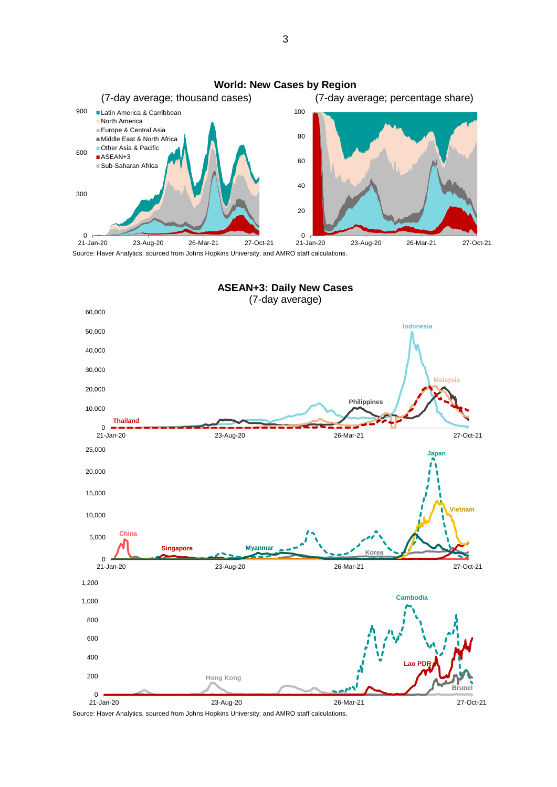

Source: Haver Analytics, sourced from Johns Hopkins University; and AMRO staff calculations.



Source: Haver Analytics, sourced from Johns Hopkins University; and AMRO staff calculations.

3